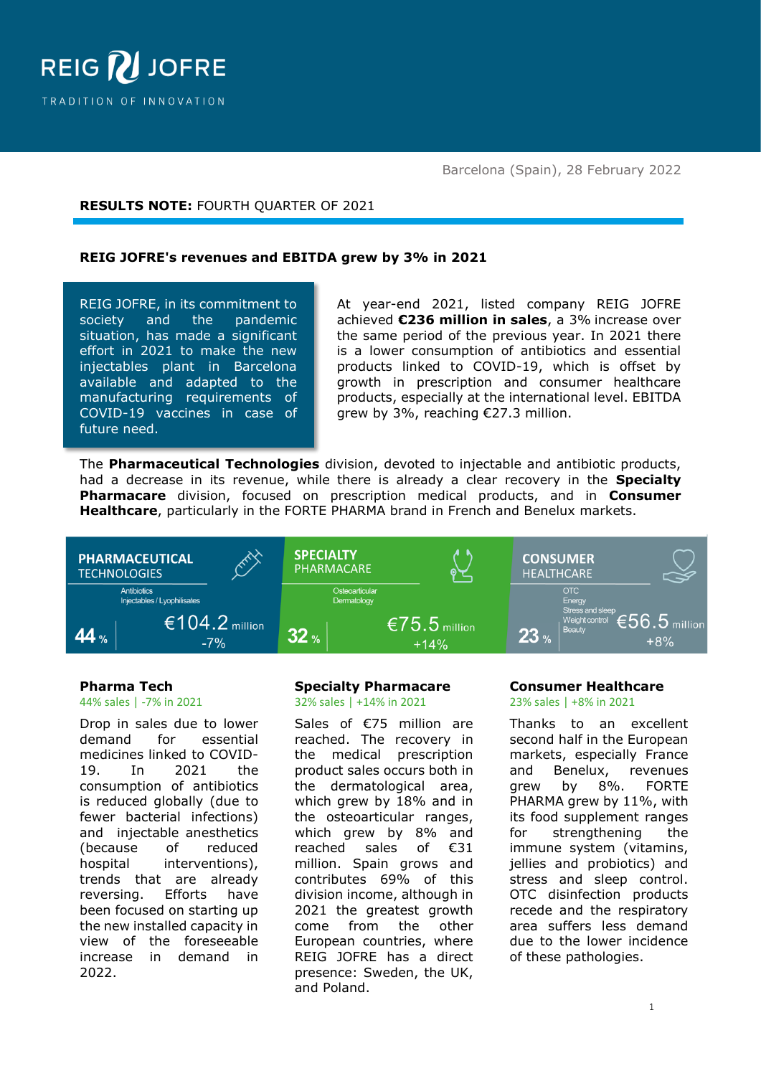

Barcelona (Spain), 28 February 2022

# **RESULTS NOTE:** FOURTH QUARTER OF 2021

#### **REIG JOFRE's revenues and EBITDA grew by 3% in 2021**

REIG JOFRE, in its commitment to society and the pandemic situation, has made a significant effort in 2021 to make the new injectables plant in Barcelona available and adapted to the manufacturing requirements of COVID-19 vaccines in case of future need.

At year-end 2021, listed company REIG JOFRE achieved **€236 million in sales**, a 3% increase over the same period of the previous year. In 2021 there is a lower consumption of antibiotics and essential products linked to COVID-19, which is offset by growth in prescription and consumer healthcare products, especially at the international level. EBITDA grew by 3%, reaching €27.3 million.

The **Pharmaceutical Technologies** division, devoted to injectable and antibiotic products, had a decrease in its revenue, while there is already a clear recovery in the **Specialty Pharmacare** division, focused on prescription medical products, and in **Consumer Healthcare**, particularly in the FORTE PHARMA brand in French and Benelux markets.



#### **Pharma Tech**

44% sales | -7% in 2021

Drop in sales due to lower demand for essential medicines linked to COVID-19. In 2021 the consumption of antibiotics is reduced globally (due to fewer bacterial infections) and injectable anesthetics (because of reduced hospital interventions), trends that are already reversing. Efforts have been focused on starting up the new installed capacity in view of the foreseeable increase in demand in 2022.

#### **Specialty Pharmacare** 32% sales | +14% in 2021

Sales of €75 million are reached. The recovery in the medical prescription product sales occurs both in the dermatological area, which grew by 18% and in the osteoarticular ranges, which grew by 8% and reached sales of €31 million. Spain grows and contributes 69% of this division income, although in 2021 the greatest growth come from the other European countries, where REIG JOFRE has a direct presence: Sweden, the UK, and Poland.

#### **Consumer Healthcare** 23% sales | +8% in 2021

Thanks to an excellent second half in the European markets, especially France and Benelux, revenues grew by 8%. FORTE PHARMA grew by 11%, with its food supplement ranges for strengthening the immune system (vitamins, jellies and probiotics) and stress and sleep control. OTC disinfection products recede and the respiratory area suffers less demand due to the lower incidence of these pathologies.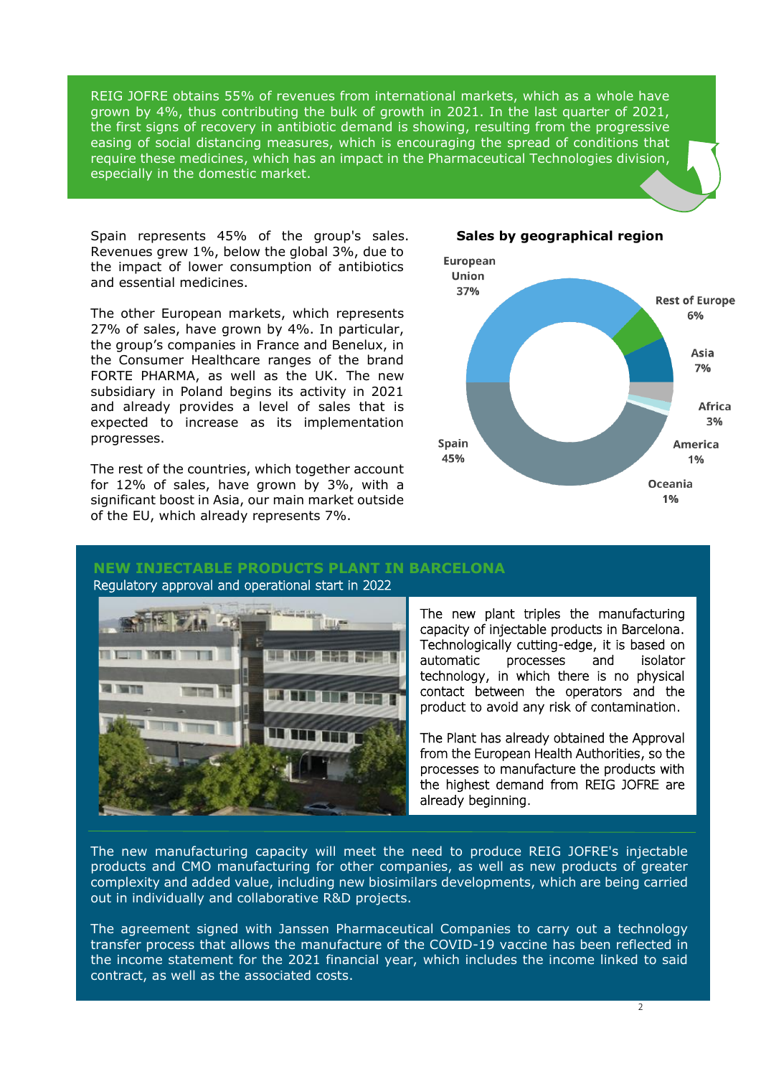REIG JOFRE obtains 55% of revenues from international markets, which as a whole have grown by 4%, thus contributing the bulk of growth in 2021. In the last quarter of 2021, the first signs of recovery in antibiotic demand is showing, resulting from the progressive easing of social distancing measures, which is encouraging the spread of conditions that require these medicines, which has an impact in the Pharmaceutical Technologies division, especially in the domestic market.

Spain represents 45% of the group's sales. Revenues grew 1%, below the global 3%, due to the impact of lower consumption of antibiotics and essential medicines.

The other European markets, which represents 27% of sales, have grown by 4%. In particular, the group's companies in France and Benelux, in the Consumer Healthcare ranges of the brand FORTE PHARMA, as well as the UK. The new subsidiary in Poland begins its activity in 2021 and already provides a level of sales that is expected to increase as its implementation progresses.

The rest of the countries, which together account for 12% of sales, have grown by 3%, with a significant boost in Asia, our main market outside of the EU, which already represents 7%.



**Oceania**  $1%$ 

#### **Sales by geographical region**

#### **NEW INJECTABLE PRODUCTS PLANT IN BARCELONA**



Regulatory approval and operational start in 2022

The new plant triples the manufacturing capacity of injectable products in Barcelona. Technologically cutting-edge, it is based on automatic processes and isolator technology, in which there is no physical contact between the operators and the product to avoid any risk of contamination.

. from the European Health Authorities, so the The Plant has already obtained the Approval processes to manufacture the products with the highest demand from REIG JOFRE are already beginning.

The new manufacturing capacity will meet the need to produce REIG JOFRE's injectable products and CMO manufacturing for other companies, as well as new products of greater complexity and added value, including new biosimilars developments, which are being carried out in individually and collaborative R&D projects.

The agreement signed with Janssen Pharmaceutical Companies to carry out a technology transfer process that allows the manufacture of the COVID-19 vaccine has been reflected in the income statement for the 2021 financial year, which includes the income linked to said contract, as well as the associated costs.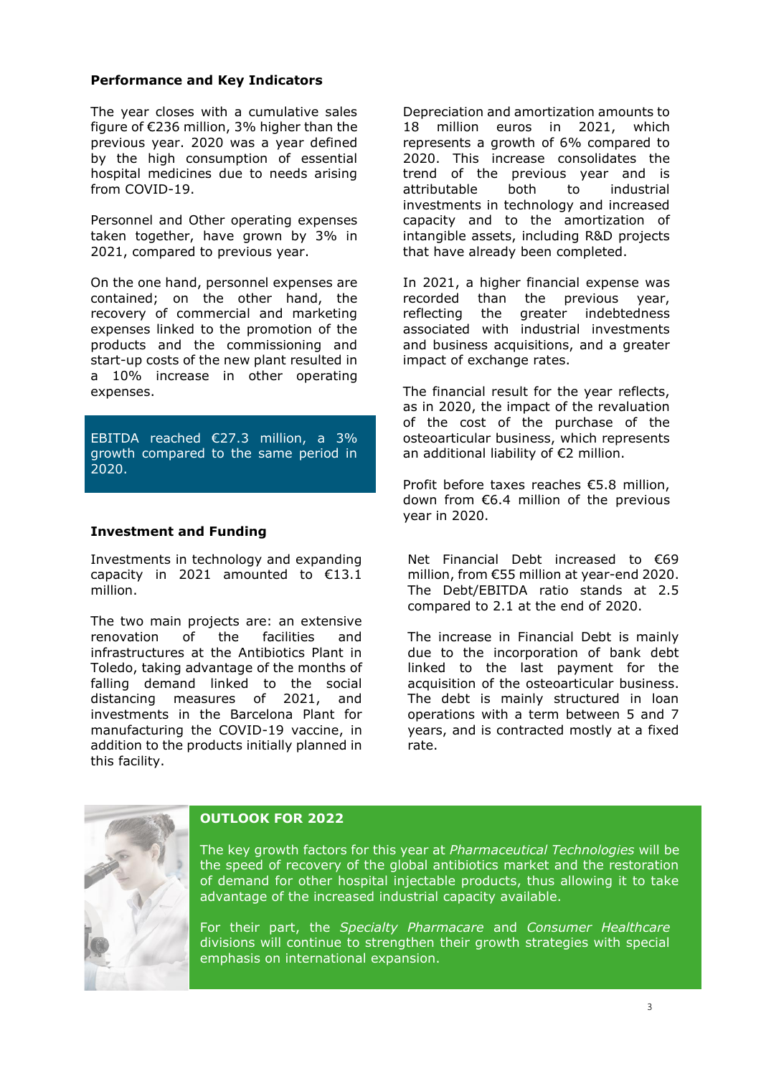#### **Performance and Key Indicators**

The year closes with a cumulative sales figure of €236 million, 3% higher than the previous year. 2020 was a year defined by the high consumption of essential hospital medicines due to needs arising from COVID-19.

Personnel and Other operating expenses taken together, have grown by 3% in 2021, compared to previous year.

On the one hand, personnel expenses are contained; on the other hand, the recovery of commercial and marketing expenses linked to the promotion of the products and the commissioning and start-up costs of the new plant resulted in a 10% increase in other operating expenses.

EBITDA reached €27.3 million, a 3% growth compared to the same period in 2020.

#### **Investment and Funding**

Investments in technology and expanding capacity in 2021 amounted to €13.1 million.

The two main projects are: an extensive renovation of the facilities and infrastructures at the Antibiotics Plant in Toledo, taking advantage of the months of falling demand linked to the social distancing measures of 2021, and investments in the Barcelona Plant for manufacturing the COVID-19 vaccine, in addition to the products initially planned in this facility.

Depreciation and amortization amounts to 18 million euros in 2021, which represents a growth of 6% compared to 2020. This increase consolidates the trend of the previous year and is attributable both to industrial investments in technology and increased capacity and to the amortization of intangible assets, including R&D projects that have already been completed.

In 2021, a higher financial expense was recorded than the previous year, reflecting the greater indebtedness associated with industrial investments and business acquisitions, and a greater impact of exchange rates.

The financial result for the year reflects, as in 2020, the impact of the revaluation of the cost of the purchase of the osteoarticular business, which represents an additional liability of €2 million.

Profit before taxes reaches €5.8 million, down from €6.4 million of the previous year in 2020.

Net Financial Debt increased to €69 million, from €55 million at year-end 2020. The Debt/EBITDA ratio stands at 2.5 compared to 2.1 at the end of 2020.

The increase in Financial Debt is mainly due to the incorporation of bank debt linked to the last payment for the acquisition of the osteoarticular business. The debt is mainly structured in loan operations with a term between 5 and 7 years, and is contracted mostly at a fixed rate.



## **OUTLOOK FOR 2022**

The key growth factors for this year at *Pharmaceutical Technologies* will be the speed of recovery of the global antibiotics market and the restoration of demand for other hospital injectable products, thus allowing it to take advantage of the increased industrial capacity available.

For their part, the *Specialty Pharmacare* and *Consumer Healthcare* divisions will continue to strengthen their growth strategies with special emphasis on international expansion.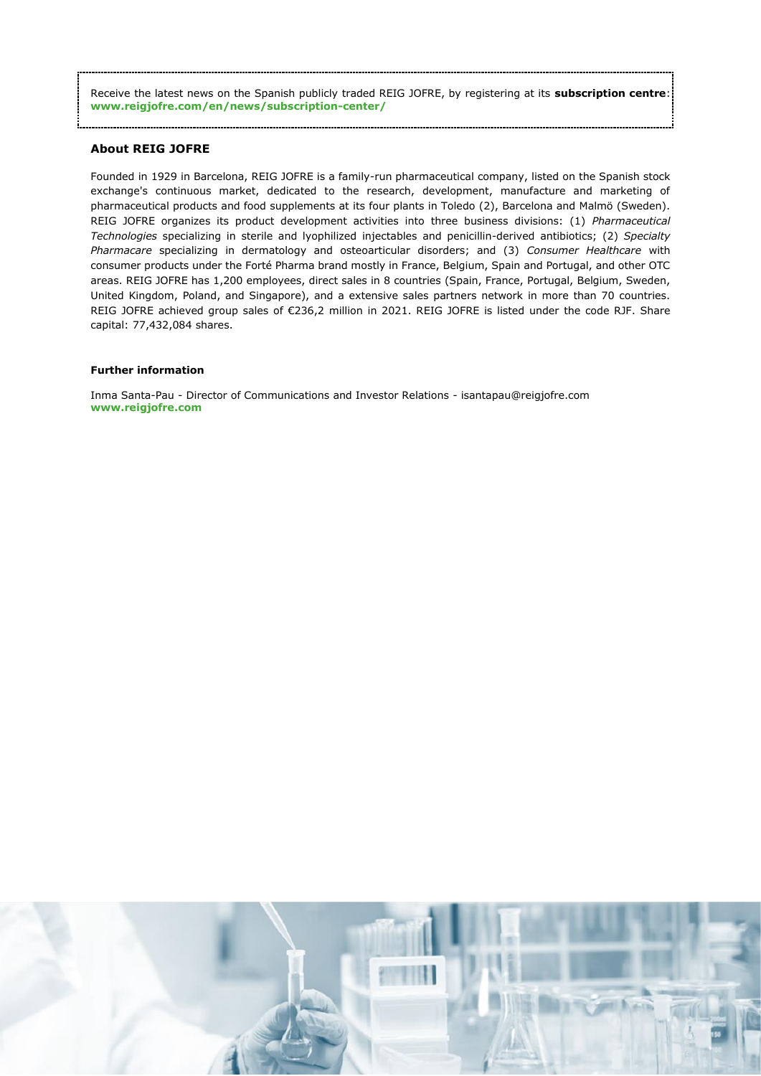Receive the latest news on the Spanish publicly traded REIG JOFRE, by registering at its **subscription centre**: **www.reigjofre.com/en/news/subscription-center/**

#### **About REIG JOFRE**

Founded in 1929 in Barcelona, REIG JOFRE is a family-run pharmaceutical company, listed on the Spanish stock exchange's continuous market, dedicated to the research, development, manufacture and marketing of pharmaceutical products and food supplements at its four plants in Toledo (2), Barcelona and Malmö (Sweden). REIG JOFRE organizes its product development activities into three business divisions: (1) *Pharmaceutical Technologies* specializing in sterile and lyophilized injectables and penicillin-derived antibiotics; (2) *Specialty Pharmacare* specializing in dermatology and osteoarticular disorders; and (3) *Consumer Healthcare* with consumer products under the Forté Pharma brand mostly in France, Belgium, Spain and Portugal, and other OTC areas. REIG JOFRE has 1,200 employees, direct sales in 8 countries (Spain, France, Portugal, Belgium, Sweden, United Kingdom, Poland, and Singapore), and a extensive sales partners network in more than 70 countries. REIG JOFRE achieved group sales of €236,2 million in 2021. REIG JOFRE is listed under the code RJF. Share capital: 77,432,084 shares.

#### **Further information**

Inma Santa-Pau - Director of Communications and Investor Relations - [isantapau@reigjofre.com](mailto:isantapau@reigjofre.com) **www[.reigjofre.](https://www.reigjofre.com/)com**

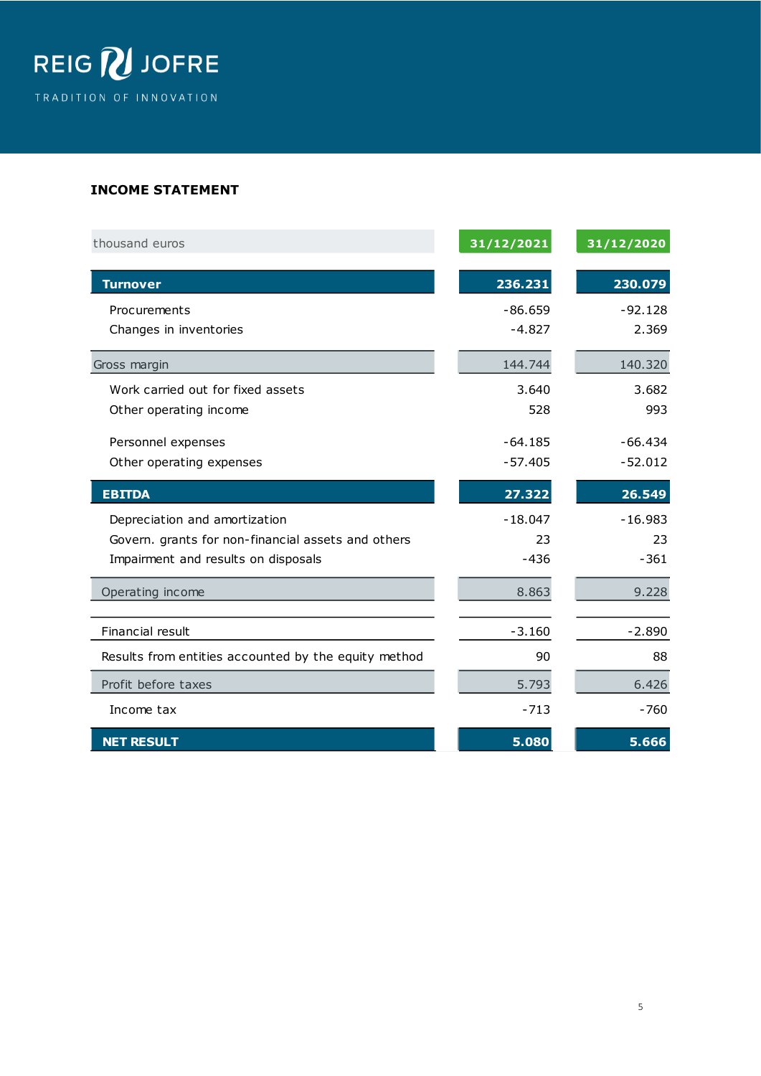

## **INCOME STATEMENT**

| thousand euros                                       | 31/12/2021 | 31/12/2020 |
|------------------------------------------------------|------------|------------|
| <b>Turnover</b>                                      | 236.231    | 230.079    |
| Procurements                                         | $-86.659$  | $-92.128$  |
| Changes in inventories                               | $-4.827$   | 2.369      |
| Gross margin                                         | 144.744    | 140.320    |
| Work carried out for fixed assets                    | 3.640      | 3.682      |
| Other operating income                               | 528        | 993        |
| Personnel expenses                                   | $-64.185$  | $-66.434$  |
| Other operating expenses                             | $-57.405$  | $-52.012$  |
| <b>EBITDA</b>                                        | 27.322     | 26.549     |
| Depreciation and amortization                        | $-18.047$  | $-16.983$  |
| Govern. grants for non-financial assets and others   | 23         | 23         |
| Impairment and results on disposals                  | $-436$     | $-361$     |
| Operating income                                     | 8.863      | 9.228      |
| Financial result                                     | $-3.160$   | $-2.890$   |
| Results from entities accounted by the equity method | 90         | 88         |
| Profit before taxes                                  | 5.793      | 6.426      |
| Income tax                                           | $-713$     | $-760$     |
| <b>NET RESULT</b>                                    | 5.080      | 5.666      |